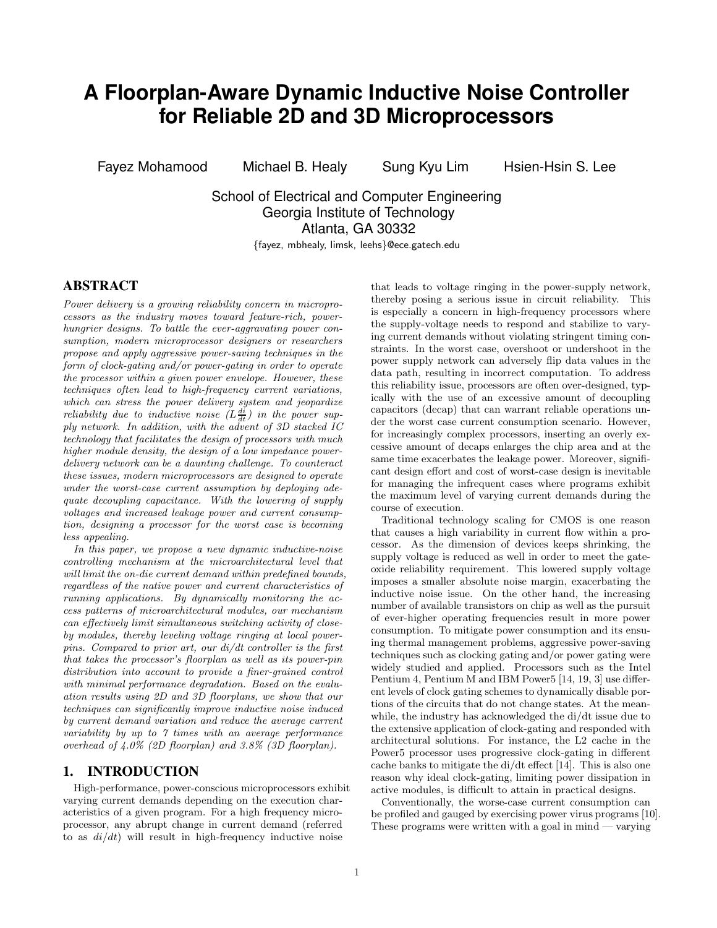# **A Floorplan-Aware Dynamic Inductive Noise Controller for Reliable 2D and 3D Microprocessors**

Fayez Mohamood Michael B. Healy Sung Kyu Lim Hsien-Hsin S. Lee

School of Electrical and Computer Engineering Georgia Institute of Technology Atlanta, GA 30332

{fayez, mbhealy, limsk, leehs}@ece.gatech.edu

# **ABSTRACT**

Power delivery is a growing reliability concern in microprocessors as the industry moves toward feature-rich, powerhungrier designs. To battle the ever-aggravating power consumption, modern microprocessor designers or researchers propose and apply aggressive power-saving techniques in the form of clock-gating and/or power-gating in order to operate the processor within a given power envelope. However, these techniques often lead to high-frequency current variations, which can stress the power delivery system and jeopardize reliability due to inductive noise  $(L\frac{di}{dt})$  in the power supply network. In addition, with the advent of 3D stacked IC technology that facilitates the design of processors with much higher module density, the design of a low impedance powerdelivery network can be a daunting challenge. To counteract these issues, modern microprocessors are designed to operate under the worst-case current assumption by deploying adequate decoupling capacitance. With the lowering of supply voltages and increased leakage power and current consumption, designing a processor for the worst case is becoming less appealing.

In this paper, we propose a new dynamic inductive-noise controlling mechanism at the microarchitectural level that will limit the on-die current demand within predefined bounds, regardless of the native power and current characteristics of running applications. By dynamically monitoring the access patterns of microarchitectural modules, our mechanism can effectively limit simultaneous switching activity of closeby modules, thereby leveling voltage ringing at local powerpins. Compared to prior art, our di/dt controller is the first that takes the processor's floorplan as well as its power-pin distribution into account to provide a finer-grained control with minimal performance degradation. Based on the evaluation results using 2D and 3D floorplans, we show that our techniques can significantly improve inductive noise induced by current demand variation and reduce the average current variability by up to 7 times with an average performance overhead of 4.0% (2D floorplan) and 3.8% (3D floorplan).

## **1. INTRODUCTION**

High-performance, power-conscious microprocessors exhibit varying current demands depending on the execution characteristics of a given program. For a high frequency microprocessor, any abrupt change in current demand (referred to as  $di/dt$ ) will result in high-frequency inductive noise

that leads to voltage ringing in the power-supply network, thereby posing a serious issue in circuit reliability. This is especially a concern in high-frequency processors where the supply-voltage needs to respond and stabilize to varying current demands without violating stringent timing constraints. In the worst case, overshoot or undershoot in the power supply network can adversely flip data values in the data path, resulting in incorrect computation. To address this reliability issue, processors are often over-designed, typically with the use of an excessive amount of decoupling capacitors (decap) that can warrant reliable operations under the worst case current consumption scenario. However, for increasingly complex processors, inserting an overly excessive amount of decaps enlarges the chip area and at the same time exacerbates the leakage power. Moreover, significant design effort and cost of worst-case design is inevitable for managing the infrequent cases where programs exhibit the maximum level of varying current demands during the course of execution.

Traditional technology scaling for CMOS is one reason that causes a high variability in current flow within a processor. As the dimension of devices keeps shrinking, the supply voltage is reduced as well in order to meet the gateoxide reliability requirement. This lowered supply voltage imposes a smaller absolute noise margin, exacerbating the inductive noise issue. On the other hand, the increasing number of available transistors on chip as well as the pursuit of ever-higher operating frequencies result in more power consumption. To mitigate power consumption and its ensuing thermal management problems, aggressive power-saving techniques such as clocking gating and/or power gating were widely studied and applied. Processors such as the Intel Pentium 4, Pentium M and IBM Power5 [14, 19, 3] use different levels of clock gating schemes to dynamically disable portions of the circuits that do not change states. At the meanwhile, the industry has acknowledged the di/dt issue due to the extensive application of clock-gating and responded with architectural solutions. For instance, the L2 cache in the Power5 processor uses progressive clock-gating in different cache banks to mitigate the di/dt effect [14]. This is also one reason why ideal clock-gating, limiting power dissipation in active modules, is difficult to attain in practical designs.

Conventionally, the worse-case current consumption can be profiled and gauged by exercising power virus programs [10]. These programs were written with a goal in mind — varying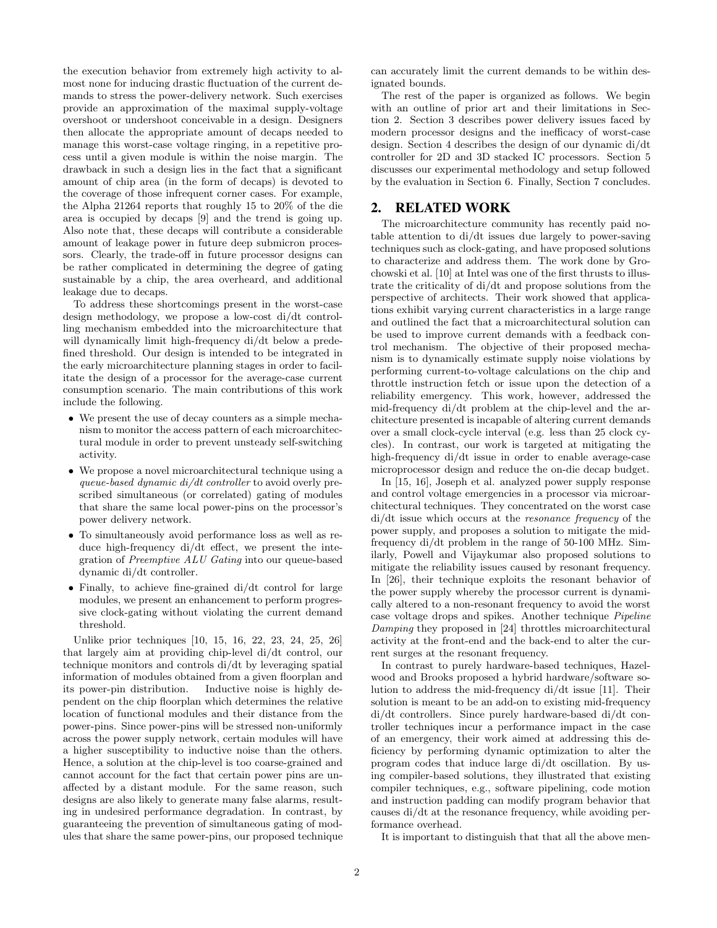the execution behavior from extremely high activity to almost none for inducing drastic fluctuation of the current demands to stress the power-delivery network. Such exercises provide an approximation of the maximal supply-voltage overshoot or undershoot conceivable in a design. Designers then allocate the appropriate amount of decaps needed to manage this worst-case voltage ringing, in a repetitive process until a given module is within the noise margin. The drawback in such a design lies in the fact that a significant amount of chip area (in the form of decaps) is devoted to the coverage of those infrequent corner cases. For example, the Alpha 21264 reports that roughly 15 to 20% of the die area is occupied by decaps [9] and the trend is going up. Also note that, these decaps will contribute a considerable amount of leakage power in future deep submicron processors. Clearly, the trade-off in future processor designs can be rather complicated in determining the degree of gating sustainable by a chip, the area overheard, and additional leakage due to decaps.

To address these shortcomings present in the worst-case design methodology, we propose a low-cost di/dt controlling mechanism embedded into the microarchitecture that will dynamically limit high-frequency di/dt below a predefined threshold. Our design is intended to be integrated in the early microarchitecture planning stages in order to facilitate the design of a processor for the average-case current consumption scenario. The main contributions of this work include the following.

- We present the use of decay counters as a simple mechanism to monitor the access pattern of each microarchitectural module in order to prevent unsteady self-switching activity.
- We propose a novel microarchitectural technique using a queue-based dynamic  $di/dt$  controller to avoid overly prescribed simultaneous (or correlated) gating of modules that share the same local power-pins on the processor's power delivery network.
- To simultaneously avoid performance loss as well as reduce high-frequency di/dt effect, we present the integration of Preemptive ALU Gating into our queue-based dynamic di/dt controller.
- Finally, to achieve fine-grained di/dt control for large modules, we present an enhancement to perform progressive clock-gating without violating the current demand threshold.

Unlike prior techniques [10, 15, 16, 22, 23, 24, 25, 26] that largely aim at providing chip-level di/dt control, our technique monitors and controls di/dt by leveraging spatial information of modules obtained from a given floorplan and its power-pin distribution. Inductive noise is highly dependent on the chip floorplan which determines the relative location of functional modules and their distance from the power-pins. Since power-pins will be stressed non-uniformly across the power supply network, certain modules will have a higher susceptibility to inductive noise than the others. Hence, a solution at the chip-level is too coarse-grained and cannot account for the fact that certain power pins are unaffected by a distant module. For the same reason, such designs are also likely to generate many false alarms, resulting in undesired performance degradation. In contrast, by guaranteeing the prevention of simultaneous gating of modules that share the same power-pins, our proposed technique can accurately limit the current demands to be within designated bounds.

The rest of the paper is organized as follows. We begin with an outline of prior art and their limitations in Section 2. Section 3 describes power delivery issues faced by modern processor designs and the inefficacy of worst-case design. Section 4 describes the design of our dynamic di/dt controller for 2D and 3D stacked IC processors. Section 5 discusses our experimental methodology and setup followed by the evaluation in Section 6. Finally, Section 7 concludes.

# **2. RELATED WORK**

The microarchitecture community has recently paid notable attention to di/dt issues due largely to power-saving techniques such as clock-gating, and have proposed solutions to characterize and address them. The work done by Grochowski et al. [10] at Intel was one of the first thrusts to illustrate the criticality of di/dt and propose solutions from the perspective of architects. Their work showed that applications exhibit varying current characteristics in a large range and outlined the fact that a microarchitectural solution can be used to improve current demands with a feedback control mechanism. The objective of their proposed mechanism is to dynamically estimate supply noise violations by performing current-to-voltage calculations on the chip and throttle instruction fetch or issue upon the detection of a reliability emergency. This work, however, addressed the mid-frequency di/dt problem at the chip-level and the architecture presented is incapable of altering current demands over a small clock-cycle interval (e.g. less than 25 clock cycles). In contrast, our work is targeted at mitigating the high-frequency di/dt issue in order to enable average-case microprocessor design and reduce the on-die decap budget.

In [15, 16], Joseph et al. analyzed power supply response and control voltage emergencies in a processor via microarchitectural techniques. They concentrated on the worst case di/dt issue which occurs at the resonance frequency of the power supply, and proposes a solution to mitigate the midfrequency di/dt problem in the range of 50-100 MHz. Similarly, Powell and Vijaykumar also proposed solutions to mitigate the reliability issues caused by resonant frequency. In [26], their technique exploits the resonant behavior of the power supply whereby the processor current is dynamically altered to a non-resonant frequency to avoid the worst case voltage drops and spikes. Another technique Pipeline Damping they proposed in [24] throttles microarchitectural activity at the front-end and the back-end to alter the current surges at the resonant frequency.

In contrast to purely hardware-based techniques, Hazelwood and Brooks proposed a hybrid hardware/software solution to address the mid-frequency di/dt issue [11]. Their solution is meant to be an add-on to existing mid-frequency di/dt controllers. Since purely hardware-based di/dt controller techniques incur a performance impact in the case of an emergency, their work aimed at addressing this deficiency by performing dynamic optimization to alter the program codes that induce large di/dt oscillation. By using compiler-based solutions, they illustrated that existing compiler techniques, e.g., software pipelining, code motion and instruction padding can modify program behavior that causes di/dt at the resonance frequency, while avoiding performance overhead.

It is important to distinguish that that all the above men-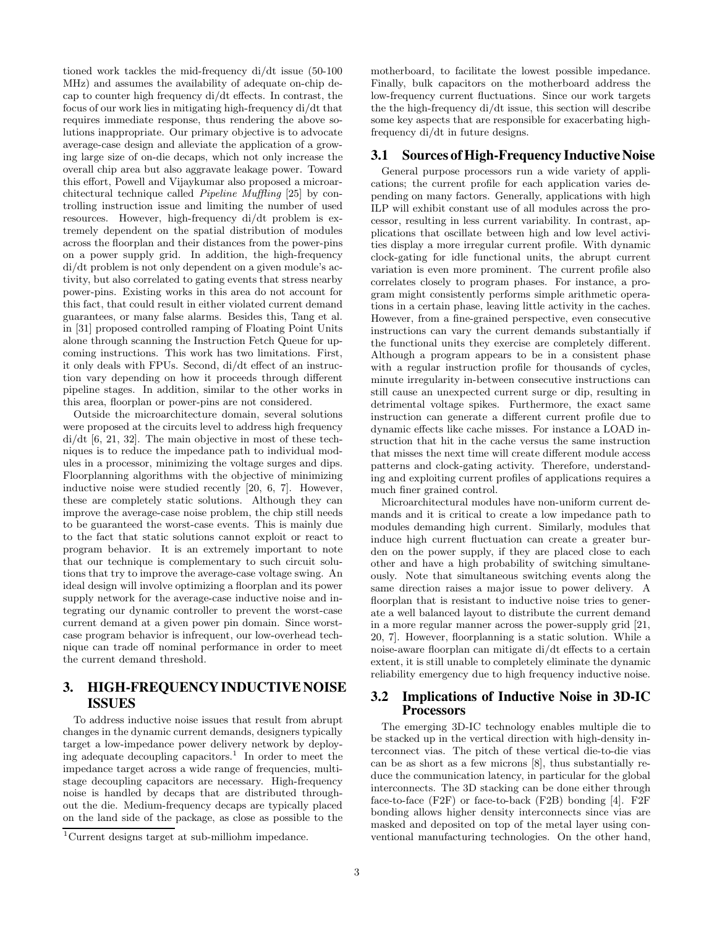tioned work tackles the mid-frequency di/dt issue (50-100 MHz) and assumes the availability of adequate on-chip decap to counter high frequency di/dt effects. In contrast, the focus of our work lies in mitigating high-frequency di/dt that requires immediate response, thus rendering the above solutions inappropriate. Our primary objective is to advocate average-case design and alleviate the application of a growing large size of on-die decaps, which not only increase the overall chip area but also aggravate leakage power. Toward this effort, Powell and Vijaykumar also proposed a microarchitectural technique called Pipeline Muffling [25] by controlling instruction issue and limiting the number of used resources. However, high-frequency di/dt problem is extremely dependent on the spatial distribution of modules across the floorplan and their distances from the power-pins on a power supply grid. In addition, the high-frequency di/dt problem is not only dependent on a given module's activity, but also correlated to gating events that stress nearby power-pins. Existing works in this area do not account for this fact, that could result in either violated current demand guarantees, or many false alarms. Besides this, Tang et al. in [31] proposed controlled ramping of Floating Point Units alone through scanning the Instruction Fetch Queue for upcoming instructions. This work has two limitations. First, it only deals with FPUs. Second, di/dt effect of an instruction vary depending on how it proceeds through different pipeline stages. In addition, similar to the other works in this area, floorplan or power-pins are not considered.

Outside the microarchitecture domain, several solutions were proposed at the circuits level to address high frequency di/dt [6, 21, 32]. The main objective in most of these techniques is to reduce the impedance path to individual modules in a processor, minimizing the voltage surges and dips. Floorplanning algorithms with the objective of minimizing inductive noise were studied recently [20, 6, 7]. However, these are completely static solutions. Although they can improve the average-case noise problem, the chip still needs to be guaranteed the worst-case events. This is mainly due to the fact that static solutions cannot exploit or react to program behavior. It is an extremely important to note that our technique is complementary to such circuit solutions that try to improve the average-case voltage swing. An ideal design will involve optimizing a floorplan and its power supply network for the average-case inductive noise and integrating our dynamic controller to prevent the worst-case current demand at a given power pin domain. Since worstcase program behavior is infrequent, our low-overhead technique can trade off nominal performance in order to meet the current demand threshold.

# **3. HIGH-FREQUENCY INDUCTIVE NOISE ISSUES**

To address inductive noise issues that result from abrupt changes in the dynamic current demands, designers typically target a low-impedance power delivery network by deploying adequate decoupling capacitors.<sup>1</sup> In order to meet the impedance target across a wide range of frequencies, multistage decoupling capacitors are necessary. High-frequency noise is handled by decaps that are distributed throughout the die. Medium-frequency decaps are typically placed on the land side of the package, as close as possible to the motherboard, to facilitate the lowest possible impedance. Finally, bulk capacitors on the motherboard address the low-frequency current fluctuations. Since our work targets the the high-frequency di/dt issue, this section will describe some key aspects that are responsible for exacerbating highfrequency di/dt in future designs.

## **3.1 Sources ofHigh-Frequency Inductive Noise**

General purpose processors run a wide variety of applications; the current profile for each application varies depending on many factors. Generally, applications with high ILP will exhibit constant use of all modules across the processor, resulting in less current variability. In contrast, applications that oscillate between high and low level activities display a more irregular current profile. With dynamic clock-gating for idle functional units, the abrupt current variation is even more prominent. The current profile also correlates closely to program phases. For instance, a program might consistently performs simple arithmetic operations in a certain phase, leaving little activity in the caches. However, from a fine-grained perspective, even consecutive instructions can vary the current demands substantially if the functional units they exercise are completely different. Although a program appears to be in a consistent phase with a regular instruction profile for thousands of cycles, minute irregularity in-between consecutive instructions can still cause an unexpected current surge or dip, resulting in detrimental voltage spikes. Furthermore, the exact same instruction can generate a different current profile due to dynamic effects like cache misses. For instance a LOAD instruction that hit in the cache versus the same instruction that misses the next time will create different module access patterns and clock-gating activity. Therefore, understanding and exploiting current profiles of applications requires a much finer grained control.

Microarchitectural modules have non-uniform current demands and it is critical to create a low impedance path to modules demanding high current. Similarly, modules that induce high current fluctuation can create a greater burden on the power supply, if they are placed close to each other and have a high probability of switching simultaneously. Note that simultaneous switching events along the same direction raises a major issue to power delivery. A floorplan that is resistant to inductive noise tries to generate a well balanced layout to distribute the current demand in a more regular manner across the power-supply grid [21, 20, 7]. However, floorplanning is a static solution. While a noise-aware floorplan can mitigate di/dt effects to a certain extent, it is still unable to completely eliminate the dynamic reliability emergency due to high frequency inductive noise.

# **3.2 Implications of Inductive Noise in 3D-IC Processors**

The emerging 3D-IC technology enables multiple die to be stacked up in the vertical direction with high-density interconnect vias. The pitch of these vertical die-to-die vias can be as short as a few microns [8], thus substantially reduce the communication latency, in particular for the global interconnects. The 3D stacking can be done either through face-to-face (F2F) or face-to-back (F2B) bonding [4]. F2F bonding allows higher density interconnects since vias are masked and deposited on top of the metal layer using conventional manufacturing technologies. On the other hand,

<sup>1</sup>Current designs target at sub-milliohm impedance.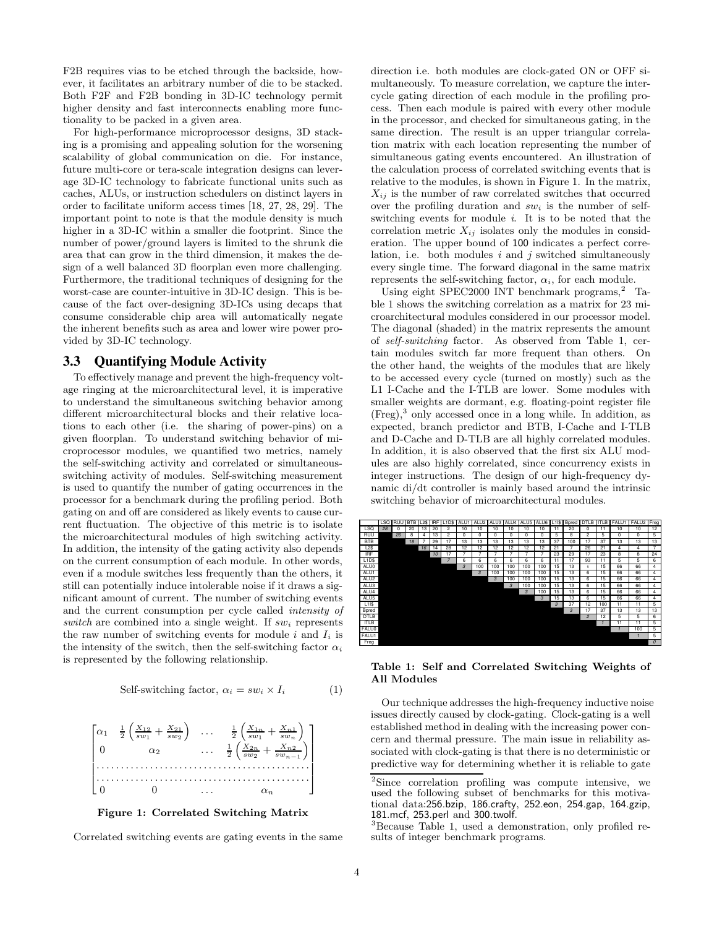F2B requires vias to be etched through the backside, however, it facilitates an arbitrary number of die to be stacked. Both F2F and F2B bonding in 3D-IC technology permit higher density and fast interconnects enabling more functionality to be packed in a given area.

For high-performance microprocessor designs, 3D stacking is a promising and appealing solution for the worsening scalability of global communication on die. For instance, future multi-core or tera-scale integration designs can leverage 3D-IC technology to fabricate functional units such as caches, ALUs, or instruction schedulers on distinct layers in order to facilitate uniform access times [18, 27, 28, 29]. The important point to note is that the module density is much higher in a 3D-IC within a smaller die footprint. Since the number of power/ground layers is limited to the shrunk die area that can grow in the third dimension, it makes the design of a well balanced 3D floorplan even more challenging. Furthermore, the traditional techniques of designing for the worst-case are counter-intuitive in 3D-IC design. This is because of the fact over-designing 3D-ICs using decaps that consume considerable chip area will automatically negate the inherent benefits such as area and lower wire power provided by 3D-IC technology.

# **3.3 Quantifying Module Activity**

To effectively manage and prevent the high-frequency voltage ringing at the microarchitectural level, it is imperative to understand the simultaneous switching behavior among different microarchitectural blocks and their relative locations to each other (i.e. the sharing of power-pins) on a given floorplan. To understand switching behavior of microprocessor modules, we quantified two metrics, namely the self-switching activity and correlated or simultaneousswitching activity of modules. Self-switching measurement is used to quantify the number of gating occurrences in the processor for a benchmark during the profiling period. Both gating on and off are considered as likely events to cause current fluctuation. The objective of this metric is to isolate the microarchitectural modules of high switching activity. In addition, the intensity of the gating activity also depends on the current consumption of each module. In other words, even if a module switches less frequently than the others, it still can potentially induce intolerable noise if it draws a significant amount of current. The number of switching events and the current consumption per cycle called intensity of switch are combined into a single weight. If  $sw_i$  represents the raw number of switching events for module i and  $I_i$  is the intensity of the switch, then the self-switching factor  $\alpha_i$ is represented by the following relationship.

Self-switching factor, 
$$
\alpha_i = sw_i \times I_i
$$
 (1)



Figure 1: Correlated Switching Matrix

Correlated switching events are gating events in the same

direction i.e. both modules are clock-gated ON or OFF simultaneously. To measure correlation, we capture the intercycle gating direction of each module in the profiling process. Then each module is paired with every other module in the processor, and checked for simultaneous gating, in the same direction. The result is an upper triangular correlation matrix with each location representing the number of simultaneous gating events encountered. An illustration of the calculation process of correlated switching events that is relative to the modules, is shown in Figure 1. In the matrix,  $X_{ij}$  is the number of raw correlated switches that occurred over the profiling duration and  $sw_i$  is the number of selfswitching events for module i. It is to be noted that the correlation metric  $X_{ij}$  isolates only the modules in consideration. The upper bound of 100 indicates a perfect correlation, i.e. both modules  $i$  and  $j$  switched simultaneously every single time. The forward diagonal in the same matrix represents the self-switching factor,  $\alpha_i$ , for each module.

Using eight SPEC2000 INT benchmark programs, ${}^{2}$  Table 1 shows the switching correlation as a matrix for 23 microarchitectural modules considered in our processor model. The diagonal (shaded) in the matrix represents the amount of self-switching factor. As observed from Table 1, certain modules switch far more frequent than others. On the other hand, the weights of the modules that are likely to be accessed every cycle (turned on mostly) such as the L1 I-Cache and the I-TLB are lower. Some modules with smaller weights are dormant, e.g. floating-point register file (Freg),<sup>3</sup> only accessed once in a long while. In addition, as expected, branch predictor and BTB, I-Cache and I-TLB and D-Cache and D-TLB are all highly correlated modules. In addition, it is also observed that the first six ALU modules are also highly correlated, since concurrency exists in integer instructions. The design of our high-frequency dynamic di/dt controller is mainly based around the intrinsic switching behavior of microarchitectural modules.



Table 1: Self and Correlated Switching Weights of All Modules

Our technique addresses the high-frequency inductive noise issues directly caused by clock-gating. Clock-gating is a well established method in dealing with the increasing power concern and thermal pressure. The main issue in reliability associated with clock-gating is that there is no deterministic or predictive way for determining whether it is reliable to gate

<sup>2</sup>Since correlation profiling was compute intensive, we used the following subset of benchmarks for this motivational data:256.bzip, 186.crafty, 252.eon, 254.gap, 164.gzip, 181.mcf, 253.perl and 300.twolf.

<sup>&</sup>lt;sup>3</sup>Because Table 1, used a demonstration, only profiled results of integer benchmark programs.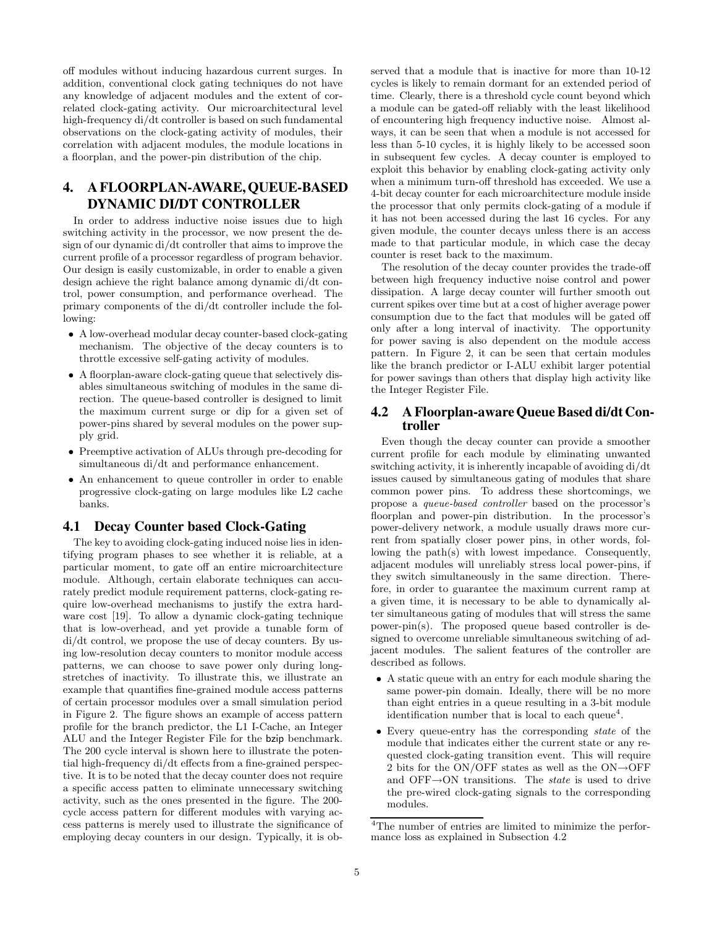off modules without inducing hazardous current surges. In addition, conventional clock gating techniques do not have any knowledge of adjacent modules and the extent of correlated clock-gating activity. Our microarchitectural level high-frequency di/dt controller is based on such fundamental observations on the clock-gating activity of modules, their correlation with adjacent modules, the module locations in a floorplan, and the power-pin distribution of the chip.

# **4. A FLOORPLAN-AWARE,QUEUE-BASED DYNAMIC DI/DT CONTROLLER**

In order to address inductive noise issues due to high switching activity in the processor, we now present the design of our dynamic di/dt controller that aims to improve the current profile of a processor regardless of program behavior. Our design is easily customizable, in order to enable a given design achieve the right balance among dynamic di/dt control, power consumption, and performance overhead. The primary components of the di/dt controller include the following:

- A low-overhead modular decay counter-based clock-gating mechanism. The objective of the decay counters is to throttle excessive self-gating activity of modules.
- A floorplan-aware clock-gating queue that selectively disables simultaneous switching of modules in the same direction. The queue-based controller is designed to limit the maximum current surge or dip for a given set of power-pins shared by several modules on the power supply grid.
- Preemptive activation of ALUs through pre-decoding for simultaneous di/dt and performance enhancement.
- An enhancement to queue controller in order to enable progressive clock-gating on large modules like L2 cache banks.

#### **4.1 Decay Counter based Clock-Gating**

The key to avoiding clock-gating induced noise lies in identifying program phases to see whether it is reliable, at a particular moment, to gate off an entire microarchitecture module. Although, certain elaborate techniques can accurately predict module requirement patterns, clock-gating require low-overhead mechanisms to justify the extra hardware cost [19]. To allow a dynamic clock-gating technique that is low-overhead, and yet provide a tunable form of di/dt control, we propose the use of decay counters. By using low-resolution decay counters to monitor module access patterns, we can choose to save power only during longstretches of inactivity. To illustrate this, we illustrate an example that quantifies fine-grained module access patterns of certain processor modules over a small simulation period in Figure 2. The figure shows an example of access pattern profile for the branch predictor, the L1 I-Cache, an Integer ALU and the Integer Register File for the bzip benchmark. The 200 cycle interval is shown here to illustrate the potential high-frequency di/dt effects from a fine-grained perspective. It is to be noted that the decay counter does not require a specific access patten to eliminate unnecessary switching activity, such as the ones presented in the figure. The 200 cycle access pattern for different modules with varying access patterns is merely used to illustrate the significance of employing decay counters in our design. Typically, it is observed that a module that is inactive for more than 10-12 cycles is likely to remain dormant for an extended period of time. Clearly, there is a threshold cycle count beyond which a module can be gated-off reliably with the least likelihood of encountering high frequency inductive noise. Almost always, it can be seen that when a module is not accessed for less than 5-10 cycles, it is highly likely to be accessed soon in subsequent few cycles. A decay counter is employed to exploit this behavior by enabling clock-gating activity only when a minimum turn-off threshold has exceeded. We use a 4-bit decay counter for each microarchitecture module inside the processor that only permits clock-gating of a module if it has not been accessed during the last 16 cycles. For any given module, the counter decays unless there is an access made to that particular module, in which case the decay counter is reset back to the maximum.

The resolution of the decay counter provides the trade-off between high frequency inductive noise control and power dissipation. A large decay counter will further smooth out current spikes over time but at a cost of higher average power consumption due to the fact that modules will be gated off only after a long interval of inactivity. The opportunity for power saving is also dependent on the module access pattern. In Figure 2, it can be seen that certain modules like the branch predictor or I-ALU exhibit larger potential for power savings than others that display high activity like the Integer Register File.

# **4.2 A Floorplan-awareQueueBased di/dt Controller**

Even though the decay counter can provide a smoother current profile for each module by eliminating unwanted switching activity, it is inherently incapable of avoiding di/dt issues caused by simultaneous gating of modules that share common power pins. To address these shortcomings, we propose a queue-based controller based on the processor's floorplan and power-pin distribution. In the processor's power-delivery network, a module usually draws more current from spatially closer power pins, in other words, following the path(s) with lowest impedance. Consequently, adjacent modules will unreliably stress local power-pins, if they switch simultaneously in the same direction. Therefore, in order to guarantee the maximum current ramp at a given time, it is necessary to be able to dynamically alter simultaneous gating of modules that will stress the same power-pin(s). The proposed queue based controller is designed to overcome unreliable simultaneous switching of adjacent modules. The salient features of the controller are described as follows.

- A static queue with an entry for each module sharing the same power-pin domain. Ideally, there will be no more than eight entries in a queue resulting in a 3-bit module identification number that is local to each queue<sup>4</sup>.
- Every queue-entry has the corresponding *state* of the module that indicates either the current state or any requested clock-gating transition event. This will require 2 bits for the ON/OFF states as well as the ON $\rightarrow$ OFF and OFF $\rightarrow$ ON transitions. The *state* is used to drive the pre-wired clock-gating signals to the corresponding modules.

<sup>4</sup>The number of entries are limited to minimize the performance loss as explained in Subsection 4.2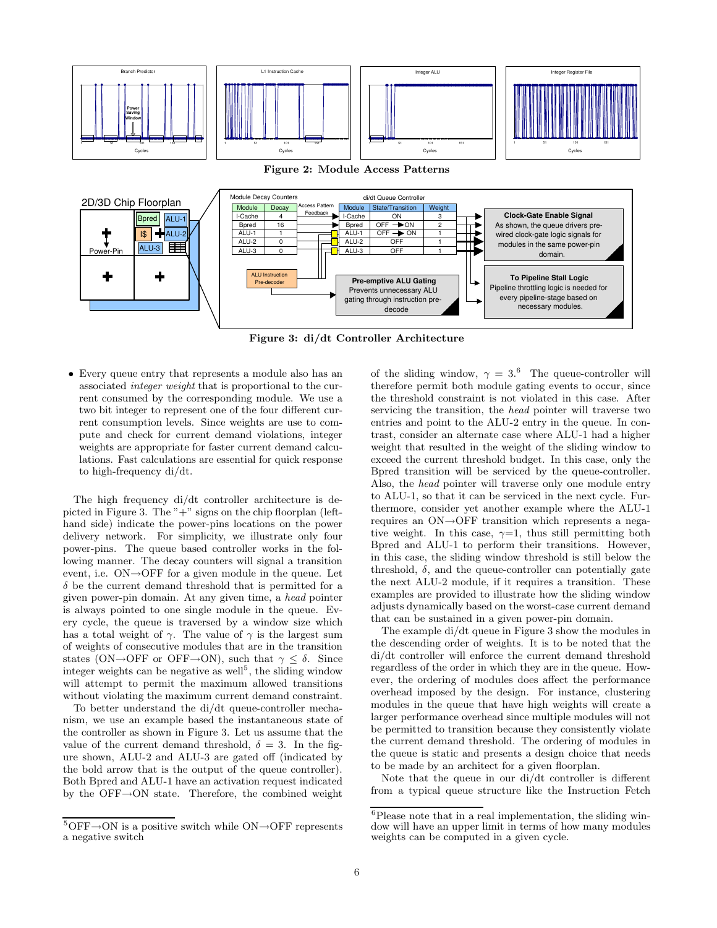

Figure 3: di/dt Controller Architecture

• Every queue entry that represents a module also has an associated integer weight that is proportional to the current consumed by the corresponding module. We use a two bit integer to represent one of the four different current consumption levels. Since weights are use to compute and check for current demand violations, integer weights are appropriate for faster current demand calculations. Fast calculations are essential for quick response to high-frequency di/dt.

The high frequency di/dt controller architecture is depicted in Figure 3. The  $+$ " signs on the chip floorplan (lefthand side) indicate the power-pins locations on the power delivery network. For simplicity, we illustrate only four power-pins. The queue based controller works in the following manner. The decay counters will signal a transition event, i.e. ON→OFF for a given module in the queue. Let  $\delta$  be the current demand threshold that is permitted for a given power-pin domain. At any given time, a head pointer is always pointed to one single module in the queue. Every cycle, the queue is traversed by a window size which has a total weight of  $\gamma$ . The value of  $\gamma$  is the largest sum of weights of consecutive modules that are in the transition states (ON→OFF or OFF→ON), such that  $\gamma \leq \delta$ . Since integer weights can be negative as well<sup>5</sup>, the sliding window will attempt to permit the maximum allowed transitions without violating the maximum current demand constraint.

To better understand the di/dt queue-controller mechanism, we use an example based the instantaneous state of the controller as shown in Figure 3. Let us assume that the value of the current demand threshold,  $\delta = 3$ . In the figure shown, ALU-2 and ALU-3 are gated off (indicated by the bold arrow that is the output of the queue controller). Both Bpred and ALU-1 have an activation request indicated by the OFF $\rightarrow$ ON state. Therefore, the combined weight

of the sliding window,  $\gamma = 3.6$  The queue-controller will therefore permit both module gating events to occur, since the threshold constraint is not violated in this case. After servicing the transition, the head pointer will traverse two entries and point to the ALU-2 entry in the queue. In contrast, consider an alternate case where ALU-1 had a higher weight that resulted in the weight of the sliding window to exceed the current threshold budget. In this case, only the Bpred transition will be serviced by the queue-controller. Also, the head pointer will traverse only one module entry to ALU-1, so that it can be serviced in the next cycle. Furthermore, consider yet another example where the ALU-1 requires an ON→OFF transition which represents a negative weight. In this case,  $\gamma=1$ , thus still permitting both Bpred and ALU-1 to perform their transitions. However, in this case, the sliding window threshold is still below the threshold,  $\delta$ , and the queue-controller can potentially gate the next ALU-2 module, if it requires a transition. These examples are provided to illustrate how the sliding window adjusts dynamically based on the worst-case current demand that can be sustained in a given power-pin domain.

The example di/dt queue in Figure 3 show the modules in the descending order of weights. It is to be noted that the di/dt controller will enforce the current demand threshold regardless of the order in which they are in the queue. However, the ordering of modules does affect the performance overhead imposed by the design. For instance, clustering modules in the queue that have high weights will create a larger performance overhead since multiple modules will not be permitted to transition because they consistently violate the current demand threshold. The ordering of modules in the queue is static and presents a design choice that needs to be made by an architect for a given floorplan.

Note that the queue in our di/dt controller is different from a typical queue structure like the Instruction Fetch

 $5$ OFF $\rightarrow$ ON is a positive switch while ON $\rightarrow$ OFF represents a negative switch

<sup>&</sup>lt;sup>6</sup>Please note that in a real implementation, the sliding window will have an upper limit in terms of how many modules weights can be computed in a given cycle.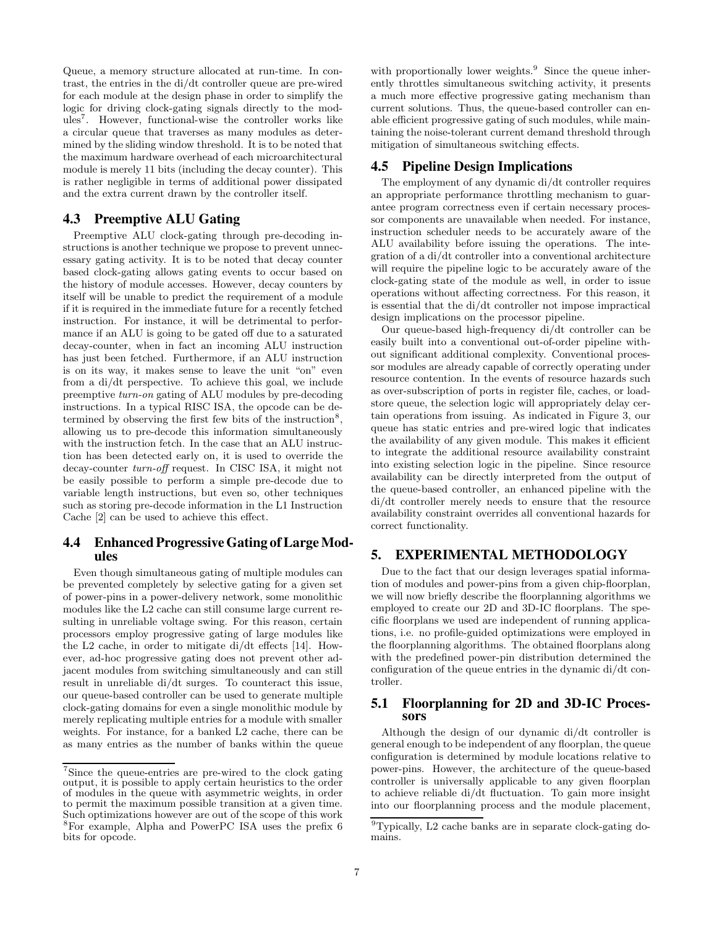Queue, a memory structure allocated at run-time. In contrast, the entries in the di/dt controller queue are pre-wired for each module at the design phase in order to simplify the logic for driving clock-gating signals directly to the modules<sup>7</sup> . However, functional-wise the controller works like a circular queue that traverses as many modules as determined by the sliding window threshold. It is to be noted that the maximum hardware overhead of each microarchitectural module is merely 11 bits (including the decay counter). This is rather negligible in terms of additional power dissipated and the extra current drawn by the controller itself.

# **4.3 Preemptive ALU Gating**

Preemptive ALU clock-gating through pre-decoding instructions is another technique we propose to prevent unnecessary gating activity. It is to be noted that decay counter based clock-gating allows gating events to occur based on the history of module accesses. However, decay counters by itself will be unable to predict the requirement of a module if it is required in the immediate future for a recently fetched instruction. For instance, it will be detrimental to performance if an ALU is going to be gated off due to a saturated decay-counter, when in fact an incoming ALU instruction has just been fetched. Furthermore, if an ALU instruction is on its way, it makes sense to leave the unit "on" even from a di/dt perspective. To achieve this goal, we include preemptive turn-on gating of ALU modules by pre-decoding instructions. In a typical RISC ISA, the opcode can be determined by observing the first few bits of the instruction<sup>8</sup>, allowing us to pre-decode this information simultaneously with the instruction fetch. In the case that an ALU instruction has been detected early on, it is used to override the decay-counter turn-off request. In CISC ISA, it might not be easily possible to perform a simple pre-decode due to variable length instructions, but even so, other techniques such as storing pre-decode information in the L1 Instruction Cache [2] can be used to achieve this effect.

# **4.4 EnhancedProgressiveGating ofLargeModules**

Even though simultaneous gating of multiple modules can be prevented completely by selective gating for a given set of power-pins in a power-delivery network, some monolithic modules like the L2 cache can still consume large current resulting in unreliable voltage swing. For this reason, certain processors employ progressive gating of large modules like the L2 cache, in order to mitigate di/dt effects [14]. However, ad-hoc progressive gating does not prevent other adjacent modules from switching simultaneously and can still result in unreliable di/dt surges. To counteract this issue, our queue-based controller can be used to generate multiple clock-gating domains for even a single monolithic module by merely replicating multiple entries for a module with smaller weights. For instance, for a banked L2 cache, there can be as many entries as the number of banks within the queue

with proportionally lower weights. $9$  Since the queue inherently throttles simultaneous switching activity, it presents a much more effective progressive gating mechanism than current solutions. Thus, the queue-based controller can enable efficient progressive gating of such modules, while maintaining the noise-tolerant current demand threshold through mitigation of simultaneous switching effects.

# **4.5 Pipeline Design Implications**

The employment of any dynamic di/dt controller requires an appropriate performance throttling mechanism to guarantee program correctness even if certain necessary processor components are unavailable when needed. For instance, instruction scheduler needs to be accurately aware of the ALU availability before issuing the operations. The integration of a di/dt controller into a conventional architecture will require the pipeline logic to be accurately aware of the clock-gating state of the module as well, in order to issue operations without affecting correctness. For this reason, it is essential that the di/dt controller not impose impractical design implications on the processor pipeline.

Our queue-based high-frequency di/dt controller can be easily built into a conventional out-of-order pipeline without significant additional complexity. Conventional processor modules are already capable of correctly operating under resource contention. In the events of resource hazards such as over-subscription of ports in register file, caches, or loadstore queue, the selection logic will appropriately delay certain operations from issuing. As indicated in Figure 3, our queue has static entries and pre-wired logic that indicates the availability of any given module. This makes it efficient to integrate the additional resource availability constraint into existing selection logic in the pipeline. Since resource availability can be directly interpreted from the output of the queue-based controller, an enhanced pipeline with the di/dt controller merely needs to ensure that the resource availability constraint overrides all conventional hazards for correct functionality.

# **5. EXPERIMENTAL METHODOLOGY**

Due to the fact that our design leverages spatial information of modules and power-pins from a given chip-floorplan, we will now briefly describe the floorplanning algorithms we employed to create our 2D and 3D-IC floorplans. The specific floorplans we used are independent of running applications, i.e. no profile-guided optimizations were employed in the floorplanning algorithms. The obtained floorplans along with the predefined power-pin distribution determined the configuration of the queue entries in the dynamic di/dt controller.

## **5.1 Floorplanning for 2D and 3D-IC Processors**

Although the design of our dynamic di/dt controller is general enough to be independent of any floorplan, the queue configuration is determined by module locations relative to power-pins. However, the architecture of the queue-based controller is universally applicable to any given floorplan to achieve reliable di/dt fluctuation. To gain more insight into our floorplanning process and the module placement,

<sup>7</sup>Since the queue-entries are pre-wired to the clock gating output, it is possible to apply certain heuristics to the order of modules in the queue with asymmetric weights, in order to permit the maximum possible transition at a given time. Such optimizations however are out of the scope of this work <sup>8</sup>For example, Alpha and PowerPC ISA uses the prefix 6 bits for opcode.

<sup>9</sup>Typically, L2 cache banks are in separate clock-gating domains.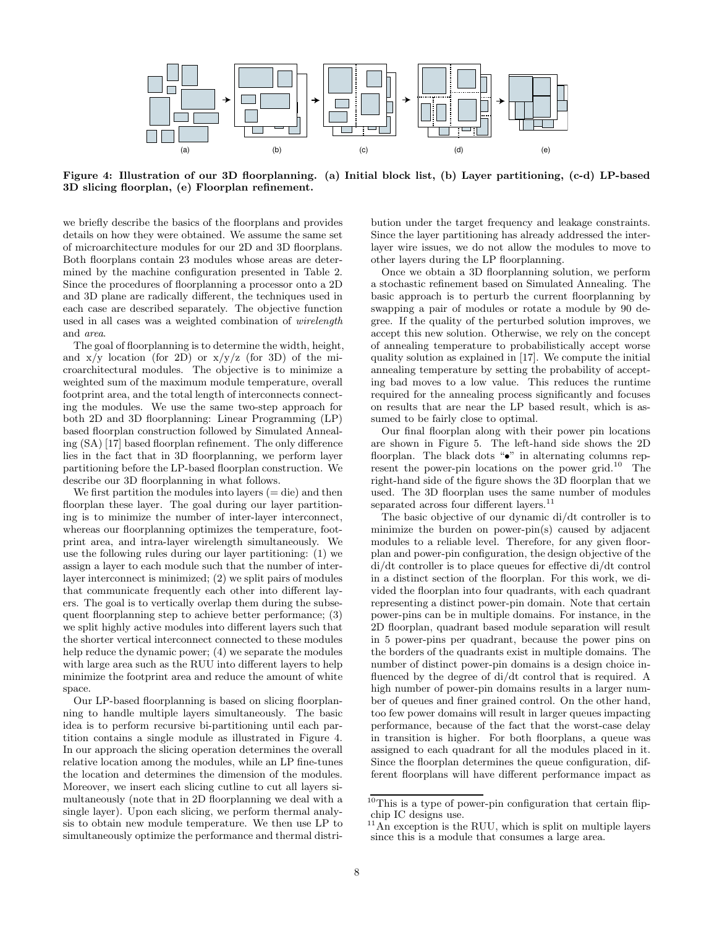

Figure 4: Illustration of our 3D floorplanning. (a) Initial block list, (b) Layer partitioning, (c-d) LP-based 3D slicing floorplan, (e) Floorplan refinement.

we briefly describe the basics of the floorplans and provides details on how they were obtained. We assume the same set of microarchitecture modules for our 2D and 3D floorplans. Both floorplans contain 23 modules whose areas are determined by the machine configuration presented in Table 2. Since the procedures of floorplanning a processor onto a 2D and 3D plane are radically different, the techniques used in each case are described separately. The objective function used in all cases was a weighted combination of wirelength and area.

The goal of floorplanning is to determine the width, height, and  $x/y$  location (for 2D) or  $x/y/z$  (for 3D) of the microarchitectural modules. The objective is to minimize a weighted sum of the maximum module temperature, overall footprint area, and the total length of interconnects connecting the modules. We use the same two-step approach for both 2D and 3D floorplanning: Linear Programming (LP) based floorplan construction followed by Simulated Annealing (SA) [17] based floorplan refinement. The only difference lies in the fact that in 3D floorplanning, we perform layer partitioning before the LP-based floorplan construction. We describe our 3D floorplanning in what follows.

We first partition the modules into layers  $(=$  die) and then floorplan these layer. The goal during our layer partitioning is to minimize the number of inter-layer interconnect, whereas our floorplanning optimizes the temperature, footprint area, and intra-layer wirelength simultaneously. We use the following rules during our layer partitioning: (1) we assign a layer to each module such that the number of interlayer interconnect is minimized; (2) we split pairs of modules that communicate frequently each other into different layers. The goal is to vertically overlap them during the subsequent floorplanning step to achieve better performance; (3) we split highly active modules into different layers such that the shorter vertical interconnect connected to these modules help reduce the dynamic power; (4) we separate the modules with large area such as the RUU into different layers to help minimize the footprint area and reduce the amount of white space.

Our LP-based floorplanning is based on slicing floorplanning to handle multiple layers simultaneously. The basic idea is to perform recursive bi-partitioning until each partition contains a single module as illustrated in Figure 4. In our approach the slicing operation determines the overall relative location among the modules, while an LP fine-tunes the location and determines the dimension of the modules. Moreover, we insert each slicing cutline to cut all layers simultaneously (note that in 2D floorplanning we deal with a single layer). Upon each slicing, we perform thermal analysis to obtain new module temperature. We then use LP to simultaneously optimize the performance and thermal distribution under the target frequency and leakage constraints. Since the layer partitioning has already addressed the interlayer wire issues, we do not allow the modules to move to other layers during the LP floorplanning.

Once we obtain a 3D floorplanning solution, we perform a stochastic refinement based on Simulated Annealing. The basic approach is to perturb the current floorplanning by swapping a pair of modules or rotate a module by 90 degree. If the quality of the perturbed solution improves, we accept this new solution. Otherwise, we rely on the concept of annealing temperature to probabilistically accept worse quality solution as explained in [17]. We compute the initial annealing temperature by setting the probability of accepting bad moves to a low value. This reduces the runtime required for the annealing process significantly and focuses on results that are near the LP based result, which is assumed to be fairly close to optimal.

Our final floorplan along with their power pin locations are shown in Figure 5. The left-hand side shows the 2D floorplan. The black dots " $\bullet$ " in alternating columns represent the power-pin locations on the power grid.<sup>10</sup> The right-hand side of the figure shows the 3D floorplan that we used. The 3D floorplan uses the same number of modules separated across four different layers.<sup>11</sup>

The basic objective of our dynamic di/dt controller is to minimize the burden on power-pin(s) caused by adjacent modules to a reliable level. Therefore, for any given floorplan and power-pin configuration, the design objective of the di/dt controller is to place queues for effective di/dt control in a distinct section of the floorplan. For this work, we divided the floorplan into four quadrants, with each quadrant representing a distinct power-pin domain. Note that certain power-pins can be in multiple domains. For instance, in the 2D floorplan, quadrant based module separation will result in 5 power-pins per quadrant, because the power pins on the borders of the quadrants exist in multiple domains. The number of distinct power-pin domains is a design choice influenced by the degree of di/dt control that is required. A high number of power-pin domains results in a larger number of queues and finer grained control. On the other hand, too few power domains will result in larger queues impacting performance, because of the fact that the worst-case delay in transition is higher. For both floorplans, a queue was assigned to each quadrant for all the modules placed in it. Since the floorplan determines the queue configuration, different floorplans will have different performance impact as

 $10$ This is a type of power-pin configuration that certain flipchip IC designs use.

 $11$ An exception is the RUU, which is split on multiple layers since this is a module that consumes a large area.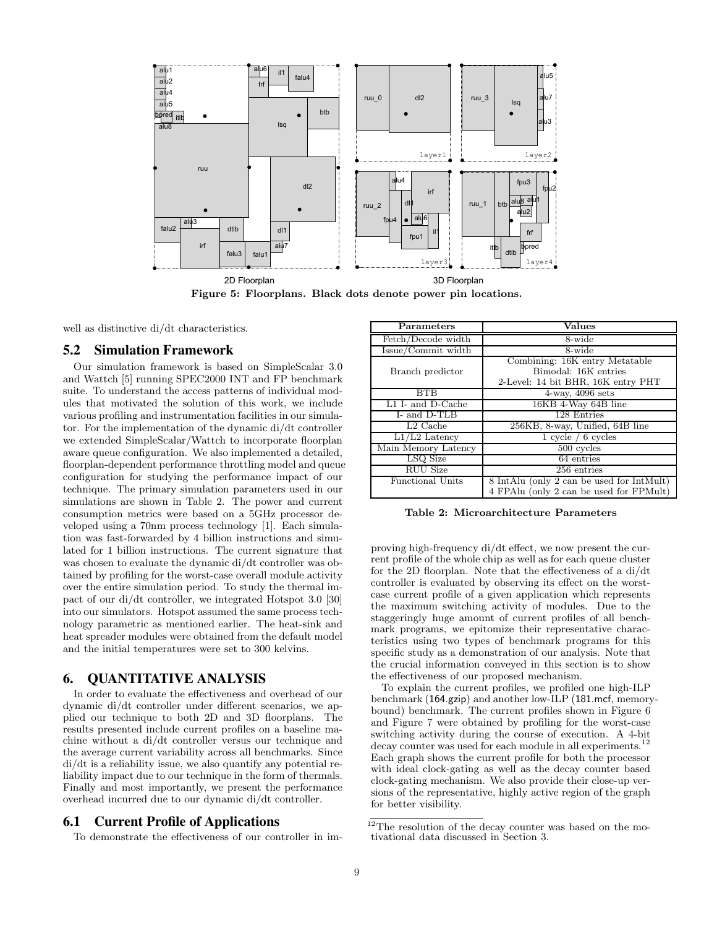

Figure 5: Floorplans. Black dots denote power pin locations.

well as distinctive di/dt characteristics.

#### **5.2 Simulation Framework**

Our simulation framework is based on SimpleScalar 3.0 and Wattch [5] running SPEC2000 INT and FP benchmark suite. To understand the access patterns of individual modules that motivated the solution of this work, we include various profiling and instrumentation facilities in our simulator. For the implementation of the dynamic di/dt controller we extended SimpleScalar/Wattch to incorporate floorplan aware queue configuration. We also implemented a detailed, floorplan-dependent performance throttling model and queue configuration for studying the performance impact of our technique. The primary simulation parameters used in our simulations are shown in Table 2. The power and current consumption metrics were based on a 5GHz processor developed using a 70nm process technology [1]. Each simulation was fast-forwarded by 4 billion instructions and simulated for 1 billion instructions. The current signature that was chosen to evaluate the dynamic di/dt controller was obtained by profiling for the worst-case overall module activity over the entire simulation period. To study the thermal impact of our di/dt controller, we integrated Hotspot 3.0 [30] into our simulators. Hotspot assumed the same process technology parametric as mentioned earlier. The heat-sink and heat spreader modules were obtained from the default model and the initial temperatures were set to 300 kelvins.

# **6. QUANTITATIVE ANALYSIS**

In order to evaluate the effectiveness and overhead of our dynamic di/dt controller under different scenarios, we applied our technique to both 2D and 3D floorplans. The results presented include current profiles on a baseline machine without a di/dt controller versus our technique and the average current variability across all benchmarks. Since di/dt is a reliability issue, we also quantify any potential reliability impact due to our technique in the form of thermals. Finally and most importantly, we present the performance overhead incurred due to our dynamic di/dt controller.

### **6.1 Current Profile of Applications**

To demonstrate the effectiveness of our controller in im-

| Parameters              | Values                                                                                       |
|-------------------------|----------------------------------------------------------------------------------------------|
| Fetch/Decode width      | $8$ -wide                                                                                    |
| Issue/Commit width      | 8-wide                                                                                       |
| Branch predictor        | Combining: 16K entry Metatable<br>Bimodal: 16K entries<br>2-Level: 14 bit BHR, 16K entry PHT |
| <b>BTB</b>              | $4$ -way, $4096$ sets                                                                        |
| L1 I- and D-Cache       | 16KB 4-Way 64B line                                                                          |
| I- and D-TLB            | 128 Entries                                                                                  |
| $L2$ Cache              | 256KB, 8-way, Unified, 64B line                                                              |
| $L1/L2$ Latency         | $1$ cycle / 6 cycles                                                                         |
| Main Memory Latency     | 500 cycles                                                                                   |
| LSQ Size                | 64 entries                                                                                   |
| <b>RUU Size</b>         | 256 entries                                                                                  |
| <b>Functional Units</b> | 8 IntAlu (only 2 can be used for IntMult)<br>4 FPAlu (only 2 can be used for FPMult)         |

Table 2: Microarchitecture Parameters

proving high-frequency di/dt effect, we now present the current profile of the whole chip as well as for each queue cluster for the 2D floorplan. Note that the effectiveness of a di/dt controller is evaluated by observing its effect on the worstcase current profile of a given application which represents the maximum switching activity of modules. Due to the staggeringly huge amount of current profiles of all benchmark programs, we epitomize their representative characteristics using two types of benchmark programs for this specific study as a demonstration of our analysis. Note that the crucial information conveyed in this section is to show the effectiveness of our proposed mechanism.

To explain the current profiles, we profiled one high-ILP benchmark (164.gzip) and another low-ILP (181.mcf, memorybound) benchmark. The current profiles shown in Figure 6 and Figure 7 were obtained by profiling for the worst-case switching activity during the course of execution. A 4-bit decay counter was used for each module in all experiments.<sup>12</sup> Each graph shows the current profile for both the processor with ideal clock-gating as well as the decay counter based clock-gating mechanism. We also provide their close-up versions of the representative, highly active region of the graph for better visibility.

 $12$ The resolution of the decay counter was based on the motivational data discussed in Section 3.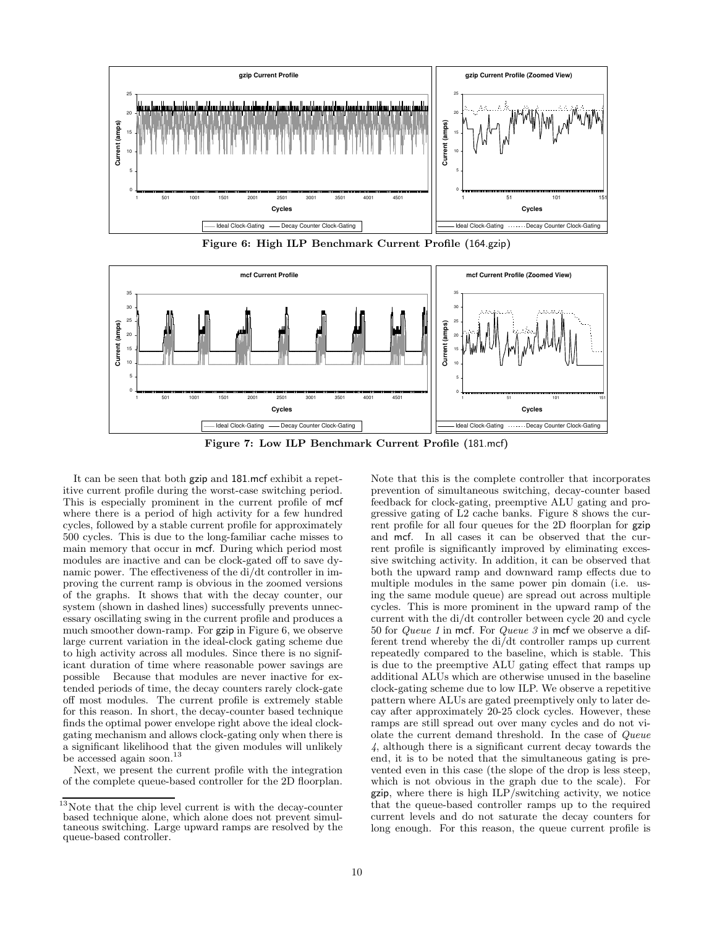

Figure 6: High ILP Benchmark Current Profile (164.gzip)



Figure 7: Low ILP Benchmark Current Profile (181.mcf)

It can be seen that both gzip and 181.mcf exhibit a repetitive current profile during the worst-case switching period. This is especially prominent in the current profile of mcf where there is a period of high activity for a few hundred cycles, followed by a stable current profile for approximately 500 cycles. This is due to the long-familiar cache misses to main memory that occur in mcf. During which period most modules are inactive and can be clock-gated off to save dynamic power. The effectiveness of the di/dt controller in improving the current ramp is obvious in the zoomed versions of the graphs. It shows that with the decay counter, our system (shown in dashed lines) successfully prevents unnecessary oscillating swing in the current profile and produces a much smoother down-ramp. For gzip in Figure 6, we observe large current variation in the ideal-clock gating scheme due to high activity across all modules. Since there is no significant duration of time where reasonable power savings are possible Because that modules are never inactive for extended periods of time, the decay counters rarely clock-gate off most modules. The current profile is extremely stable for this reason. In short, the decay-counter based technique finds the optimal power envelope right above the ideal clockgating mechanism and allows clock-gating only when there is a significant likelihood that the given modules will unlikely be accessed again soon.<sup>13</sup>

Next, we present the current profile with the integration of the complete queue-based controller for the 2D floorplan. Note that this is the complete controller that incorporates prevention of simultaneous switching, decay-counter based feedback for clock-gating, preemptive ALU gating and progressive gating of L2 cache banks. Figure 8 shows the current profile for all four queues for the 2D floorplan for gzip and mcf. In all cases it can be observed that the current profile is significantly improved by eliminating excessive switching activity. In addition, it can be observed that both the upward ramp and downward ramp effects due to multiple modules in the same power pin domain (i.e. using the same module queue) are spread out across multiple cycles. This is more prominent in the upward ramp of the current with the di/dt controller between cycle 20 and cycle 50 for Queue 1 in mcf. For Queue 3 in mcf we observe a different trend whereby the di/dt controller ramps up current repeatedly compared to the baseline, which is stable. This is due to the preemptive ALU gating effect that ramps up additional ALUs which are otherwise unused in the baseline clock-gating scheme due to low ILP. We observe a repetitive pattern where ALUs are gated preemptively only to later decay after approximately 20-25 clock cycles. However, these ramps are still spread out over many cycles and do not violate the current demand threshold. In the case of Queue 4, although there is a significant current decay towards the end, it is to be noted that the simultaneous gating is prevented even in this case (the slope of the drop is less steep, which is not obvious in the graph due to the scale). For gzip, where there is high ILP/switching activity, we notice that the queue-based controller ramps up to the required current levels and do not saturate the decay counters for long enough. For this reason, the queue current profile is

 $^{13}\rm{Note}$  that the chip level current is with the decay-counter based technique alone, which alone does not prevent simultaneous switching. Large upward ramps are resolved by the queue-based controller.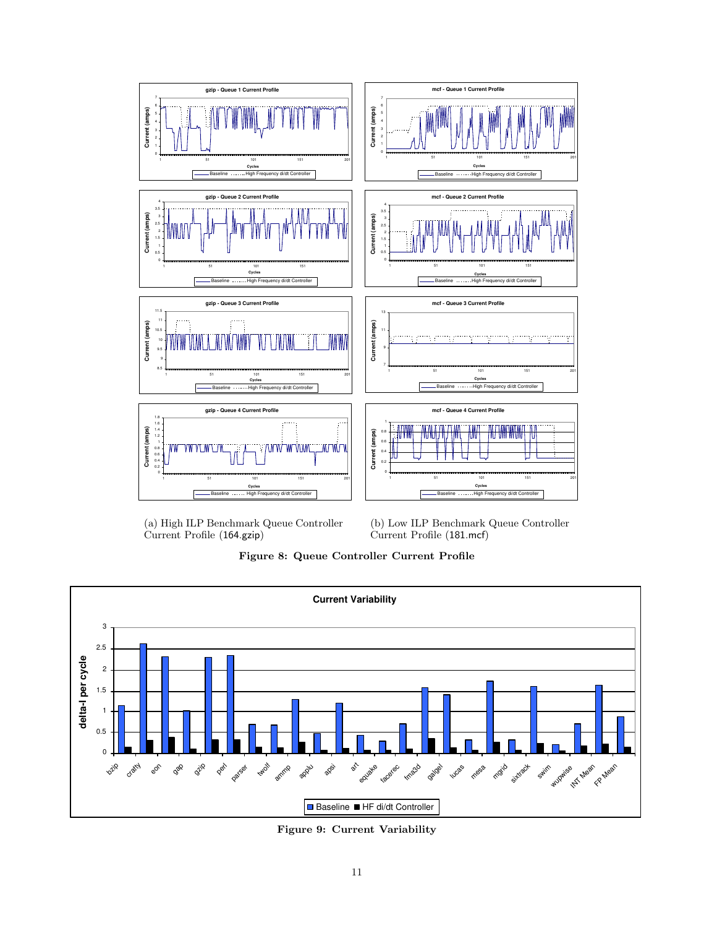

(a) High ILP Benchmark Queue Controller Current Profile (164.gzip)

(b) Low ILP Benchmark Queue Controller Current Profile (181.mcf)

Figure 8: Queue Controller Current Profile



Figure 9: Current Variability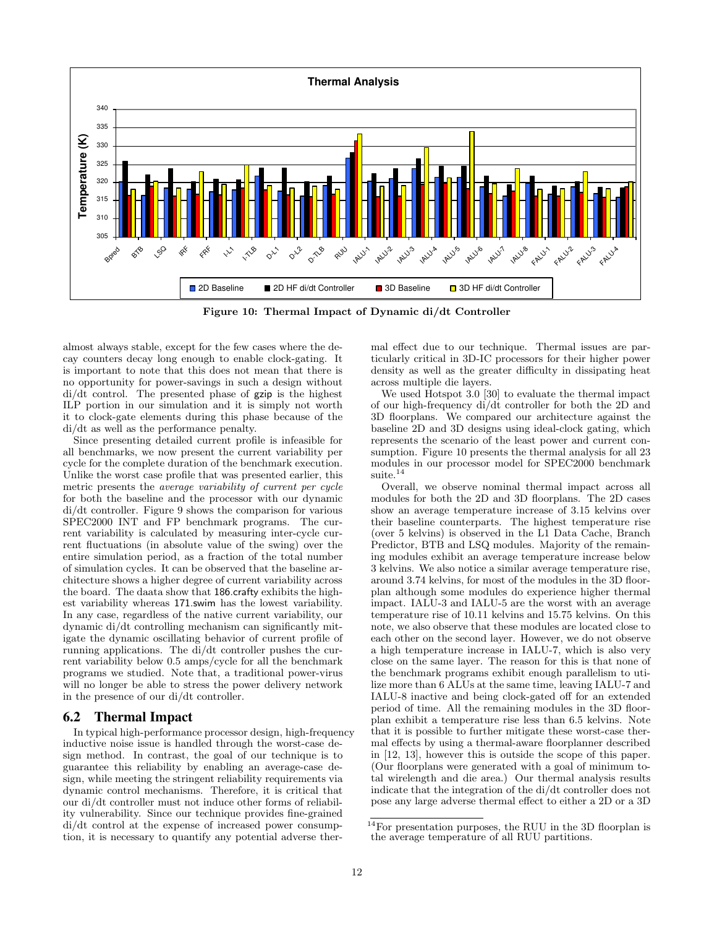

Figure 10: Thermal Impact of Dynamic di/dt Controller

almost always stable, except for the few cases where the decay counters decay long enough to enable clock-gating. It is important to note that this does not mean that there is no opportunity for power-savings in such a design without di/dt control. The presented phase of gzip is the highest ILP portion in our simulation and it is simply not worth it to clock-gate elements during this phase because of the di/dt as well as the performance penalty.

Since presenting detailed current profile is infeasible for all benchmarks, we now present the current variability per cycle for the complete duration of the benchmark execution. Unlike the worst case profile that was presented earlier, this metric presents the average variability of current per cycle for both the baseline and the processor with our dynamic di/dt controller. Figure 9 shows the comparison for various SPEC2000 INT and FP benchmark programs. The current variability is calculated by measuring inter-cycle current fluctuations (in absolute value of the swing) over the entire simulation period, as a fraction of the total number of simulation cycles. It can be observed that the baseline architecture shows a higher degree of current variability across the board. The daata show that 186.crafty exhibits the highest variability whereas 171.swim has the lowest variability. In any case, regardless of the native current variability, our dynamic di/dt controlling mechanism can significantly mitigate the dynamic oscillating behavior of current profile of running applications. The di/dt controller pushes the current variability below 0.5 amps/cycle for all the benchmark programs we studied. Note that, a traditional power-virus will no longer be able to stress the power delivery network in the presence of our di/dt controller.

#### **6.2 Thermal Impact**

In typical high-performance processor design, high-frequency inductive noise issue is handled through the worst-case design method. In contrast, the goal of our technique is to guarantee this reliability by enabling an average-case design, while meeting the stringent reliability requirements via dynamic control mechanisms. Therefore, it is critical that our di/dt controller must not induce other forms of reliability vulnerability. Since our technique provides fine-grained di/dt control at the expense of increased power consumption, it is necessary to quantify any potential adverse thermal effect due to our technique. Thermal issues are particularly critical in 3D-IC processors for their higher power density as well as the greater difficulty in dissipating heat across multiple die layers.

We used Hotspot 3.0 [30] to evaluate the thermal impact of our high-frequency di/dt controller for both the 2D and 3D floorplans. We compared our architecture against the baseline 2D and 3D designs using ideal-clock gating, which represents the scenario of the least power and current consumption. Figure 10 presents the thermal analysis for all 23 modules in our processor model for SPEC2000 benchmark  $\rm suite.^{14}$ 

Overall, we observe nominal thermal impact across all modules for both the 2D and 3D floorplans. The 2D cases show an average temperature increase of 3.15 kelvins over their baseline counterparts. The highest temperature rise (over 5 kelvins) is observed in the L1 Data Cache, Branch Predictor, BTB and LSQ modules. Majority of the remaining modules exhibit an average temperature increase below 3 kelvins. We also notice a similar average temperature rise, around 3.74 kelvins, for most of the modules in the 3D floorplan although some modules do experience higher thermal impact. IALU-3 and IALU-5 are the worst with an average temperature rise of 10.11 kelvins and 15.75 kelvins. On this note, we also observe that these modules are located close to each other on the second layer. However, we do not observe a high temperature increase in IALU-7, which is also very close on the same layer. The reason for this is that none of the benchmark programs exhibit enough parallelism to utilize more than 6 ALUs at the same time, leaving IALU-7 and IALU-8 inactive and being clock-gated off for an extended period of time. All the remaining modules in the 3D floorplan exhibit a temperature rise less than 6.5 kelvins. Note that it is possible to further mitigate these worst-case thermal effects by using a thermal-aware floorplanner described in [12, 13], however this is outside the scope of this paper. (Our floorplans were generated with a goal of minimum total wirelength and die area.) Our thermal analysis results indicate that the integration of the di/dt controller does not pose any large adverse thermal effect to either a 2D or a 3D

 $^{14}{\rm For}$  presentation purposes, the RUU in the 3D floorplan is the average temperature of all RUU partitions.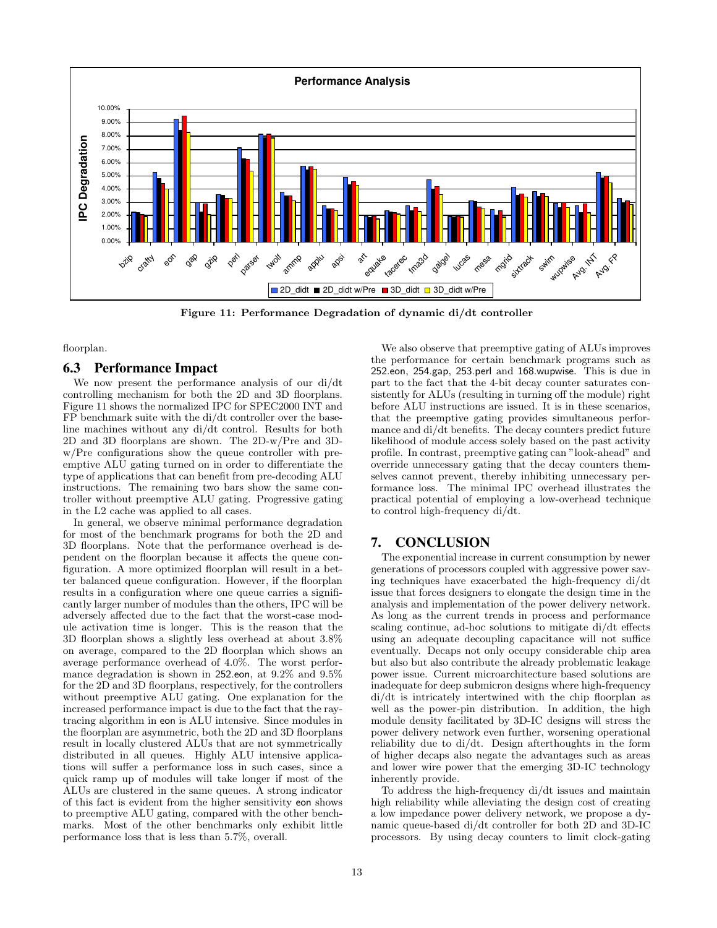

Figure 11: Performance Degradation of dynamic di/dt controller

floorplan.

#### **6.3 Performance Impact**

We now present the performance analysis of our di/dt controlling mechanism for both the 2D and 3D floorplans. Figure 11 shows the normalized IPC for SPEC2000 INT and FP benchmark suite with the di/dt controller over the baseline machines without any di/dt control. Results for both 2D and 3D floorplans are shown. The 2D-w/Pre and 3Dw/Pre configurations show the queue controller with preemptive ALU gating turned on in order to differentiate the type of applications that can benefit from pre-decoding ALU instructions. The remaining two bars show the same controller without preemptive ALU gating. Progressive gating in the L2 cache was applied to all cases.

In general, we observe minimal performance degradation for most of the benchmark programs for both the 2D and 3D floorplans. Note that the performance overhead is dependent on the floorplan because it affects the queue configuration. A more optimized floorplan will result in a better balanced queue configuration. However, if the floorplan results in a configuration where one queue carries a significantly larger number of modules than the others, IPC will be adversely affected due to the fact that the worst-case module activation time is longer. This is the reason that the 3D floorplan shows a slightly less overhead at about 3.8% on average, compared to the 2D floorplan which shows an average performance overhead of 4.0%. The worst performance degradation is shown in 252.eon, at 9.2% and 9.5% for the 2D and 3D floorplans, respectively, for the controllers without preemptive ALU gating. One explanation for the increased performance impact is due to the fact that the raytracing algorithm in eon is ALU intensive. Since modules in the floorplan are asymmetric, both the 2D and 3D floorplans result in locally clustered ALUs that are not symmetrically distributed in all queues. Highly ALU intensive applications will suffer a performance loss in such cases, since a quick ramp up of modules will take longer if most of the ALUs are clustered in the same queues. A strong indicator of this fact is evident from the higher sensitivity eon shows to preemptive ALU gating, compared with the other benchmarks. Most of the other benchmarks only exhibit little performance loss that is less than 5.7%, overall.

We also observe that preemptive gating of ALUs improves the performance for certain benchmark programs such as 252.eon, 254.gap, 253.perl and 168.wupwise. This is due in part to the fact that the 4-bit decay counter saturates consistently for ALUs (resulting in turning off the module) right before ALU instructions are issued. It is in these scenarios, that the preemptive gating provides simultaneous performance and di/dt benefits. The decay counters predict future likelihood of module access solely based on the past activity profile. In contrast, preemptive gating can "look-ahead" and override unnecessary gating that the decay counters themselves cannot prevent, thereby inhibiting unnecessary performance loss. The minimal IPC overhead illustrates the practical potential of employing a low-overhead technique to control high-frequency di/dt.

# **7. CONCLUSION**

The exponential increase in current consumption by newer generations of processors coupled with aggressive power saving techniques have exacerbated the high-frequency di/dt issue that forces designers to elongate the design time in the analysis and implementation of the power delivery network. As long as the current trends in process and performance scaling continue, ad-hoc solutions to mitigate di/dt effects using an adequate decoupling capacitance will not suffice eventually. Decaps not only occupy considerable chip area but also but also contribute the already problematic leakage power issue. Current microarchitecture based solutions are inadequate for deep submicron designs where high-frequency di/dt is intricately intertwined with the chip floorplan as well as the power-pin distribution. In addition, the high module density facilitated by 3D-IC designs will stress the power delivery network even further, worsening operational reliability due to di/dt. Design afterthoughts in the form of higher decaps also negate the advantages such as areas and lower wire power that the emerging 3D-IC technology inherently provide.

To address the high-frequency di/dt issues and maintain high reliability while alleviating the design cost of creating a low impedance power delivery network, we propose a dynamic queue-based di/dt controller for both 2D and 3D-IC processors. By using decay counters to limit clock-gating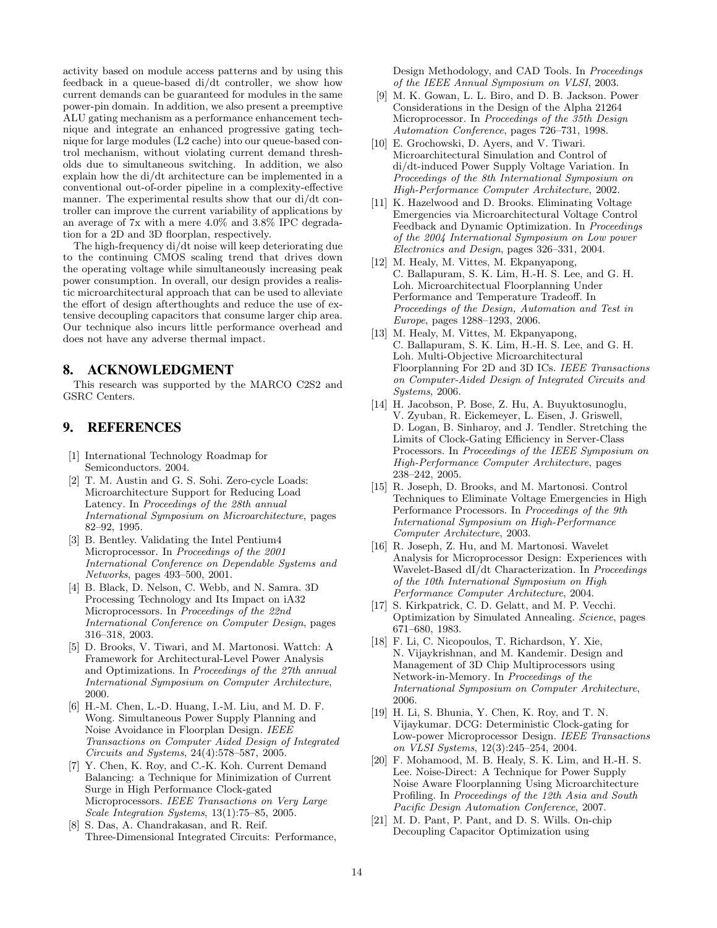activity based on module access patterns and by using this feedback in a queue-based di/dt controller, we show how current demands can be guaranteed for modules in the same power-pin domain. In addition, we also present a preemptive ALU gating mechanism as a performance enhancement technique and integrate an enhanced progressive gating technique for large modules (L2 cache) into our queue-based control mechanism, without violating current demand thresholds due to simultaneous switching. In addition, we also explain how the di/dt architecture can be implemented in a conventional out-of-order pipeline in a complexity-effective manner. The experimental results show that our di/dt controller can improve the current variability of applications by an average of 7x with a mere 4.0% and 3.8% IPC degradation for a 2D and 3D floorplan, respectively.

The high-frequency di/dt noise will keep deteriorating due to the continuing CMOS scaling trend that drives down the operating voltage while simultaneously increasing peak power consumption. In overall, our design provides a realistic microarchitectural approach that can be used to alleviate the effort of design afterthoughts and reduce the use of extensive decoupling capacitors that consume larger chip area. Our technique also incurs little performance overhead and does not have any adverse thermal impact.

# **8. ACKNOWLEDGMENT**

This research was supported by the MARCO C2S2 and GSRC Centers.

## **9. REFERENCES**

- [1] International Technology Roadmap for Semiconductors. 2004.
- [2] T. M. Austin and G. S. Sohi. Zero-cycle Loads: Microarchitecture Support for Reducing Load Latency. In Proceedings of the 28th annual International Symposium on Microarchitecture, pages 82–92, 1995.
- [3] B. Bentley. Validating the Intel Pentium4 Microprocessor. In Proceedings of the 2001 International Conference on Dependable Systems and Networks, pages 493–500, 2001.
- [4] B. Black, D. Nelson, C. Webb, and N. Samra. 3D Processing Technology and Its Impact on iA32 Microprocessors. In Proceedings of the 22nd International Conference on Computer Design, pages 316–318, 2003.
- [5] D. Brooks, V. Tiwari, and M. Martonosi. Wattch: A Framework for Architectural-Level Power Analysis and Optimizations. In Proceedings of the 27th annual International Symposium on Computer Architecture, 2000.
- [6] H.-M. Chen, L.-D. Huang, I.-M. Liu, and M. D. F. Wong. Simultaneous Power Supply Planning and Noise Avoidance in Floorplan Design. IEEE Transactions on Computer Aided Design of Integrated Circuits and Systems, 24(4):578–587, 2005.
- [7] Y. Chen, K. Roy, and C.-K. Koh. Current Demand Balancing: a Technique for Minimization of Current Surge in High Performance Clock-gated Microprocessors. IEEE Transactions on Very Large Scale Integration Systems, 13(1):75–85, 2005.
- [8] S. Das, A. Chandrakasan, and R. Reif. Three-Dimensional Integrated Circuits: Performance,

Design Methodology, and CAD Tools. In Proceedings of the IEEE Annual Symposium on VLSI, 2003.

- [9] M. K. Gowan, L. L. Biro, and D. B. Jackson. Power Considerations in the Design of the Alpha 21264 Microprocessor. In Proceedings of the 35th Design Automation Conference, pages 726–731, 1998.
- [10] E. Grochowski, D. Ayers, and V. Tiwari. Microarchitectural Simulation and Control of di/dt-induced Power Supply Voltage Variation. In Proceedings of the 8th International Symposium on High-Performance Computer Architecture, 2002.
- [11] K. Hazelwood and D. Brooks. Eliminating Voltage Emergencies via Microarchitectural Voltage Control Feedback and Dynamic Optimization. In Proceedings of the 2004 International Symposium on Low power Electronics and Design, pages 326–331, 2004.
- [12] M. Healy, M. Vittes, M. Ekpanyapong, C. Ballapuram, S. K. Lim, H.-H. S. Lee, and G. H. Loh. Microarchitectual Floorplanning Under Performance and Temperature Tradeoff. In Proceedings of the Design, Automation and Test in Europe, pages 1288–1293, 2006.
- [13] M. Healy, M. Vittes, M. Ekpanyapong, C. Ballapuram, S. K. Lim, H.-H. S. Lee, and G. H. Loh. Multi-Objective Microarchitectural Floorplanning For 2D and 3D ICs. IEEE Transactions on Computer-Aided Design of Integrated Circuits and Systems, 2006.
- [14] H. Jacobson, P. Bose, Z. Hu, A. Buyuktosunoglu, V. Zyuban, R. Eickemeyer, L. Eisen, J. Griswell, D. Logan, B. Sinharoy, and J. Tendler. Stretching the Limits of Clock-Gating Efficiency in Server-Class Processors. In Proceedings of the IEEE Symposium on High-Performance Computer Architecture, pages 238–242, 2005.
- [15] R. Joseph, D. Brooks, and M. Martonosi. Control Techniques to Eliminate Voltage Emergencies in High Performance Processors. In Proceedings of the 9th International Symposium on High-Performance Computer Architecture, 2003.
- [16] R. Joseph, Z. Hu, and M. Martonosi. Wavelet Analysis for Microprocessor Design: Experiences with Wavelet-Based dI/dt Characterization. In Proceedings of the 10th International Symposium on High Performance Computer Architecture, 2004.
- [17] S. Kirkpatrick, C. D. Gelatt, and M. P. Vecchi. Optimization by Simulated Annealing. Science, pages 671–680, 1983.
- [18] F. Li, C. Nicopoulos, T. Richardson, Y. Xie, N. Vijaykrishnan, and M. Kandemir. Design and Management of 3D Chip Multiprocessors using Network-in-Memory. In Proceedings of the International Symposium on Computer Architecture, 2006.
- [19] H. Li, S. Bhunia, Y. Chen, K. Roy, and T. N. Vijaykumar. DCG: Deterministic Clock-gating for Low-power Microprocessor Design. IEEE Transactions on VLSI Systems, 12(3):245–254, 2004.
- [20] F. Mohamood, M. B. Healy, S. K. Lim, and H.-H. S. Lee. Noise-Direct: A Technique for Power Supply Noise Aware Floorplanning Using Microarchitecture Profiling. In Proceedings of the 12th Asia and South Pacific Design Automation Conference, 2007.
- [21] M. D. Pant, P. Pant, and D. S. Wills. On-chip Decoupling Capacitor Optimization using